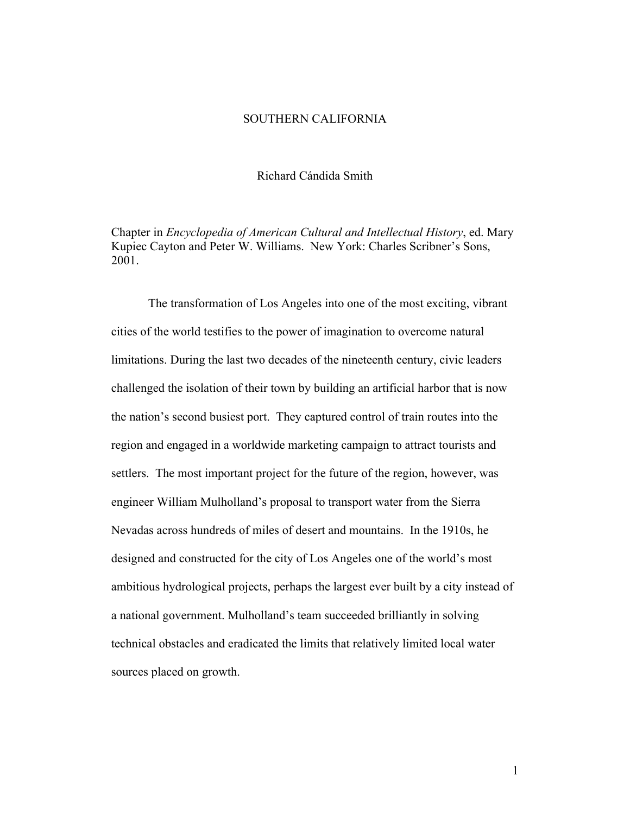### SOUTHERN CALIFORNIA

Richard Cándida Smith

Chapter in *Encyclopedia of American Cultural and Intellectual History*, ed. Mary Kupiec Cayton and Peter W. Williams. New York: Charles Scribner's Sons, 2001.

The transformation of Los Angeles into one of the most exciting, vibrant cities of the world testifies to the power of imagination to overcome natural limitations. During the last two decades of the nineteenth century, civic leaders challenged the isolation of their town by building an artificial harbor that is now the nation's second busiest port. They captured control of train routes into the region and engaged in a worldwide marketing campaign to attract tourists and settlers. The most important project for the future of the region, however, was engineer William Mulholland's proposal to transport water from the Sierra Nevadas across hundreds of miles of desert and mountains. In the 1910s, he designed and constructed for the city of Los Angeles one of the world's most ambitious hydrological projects, perhaps the largest ever built by a city instead of a national government. Mulholland's team succeeded brilliantly in solving technical obstacles and eradicated the limits that relatively limited local water sources placed on growth.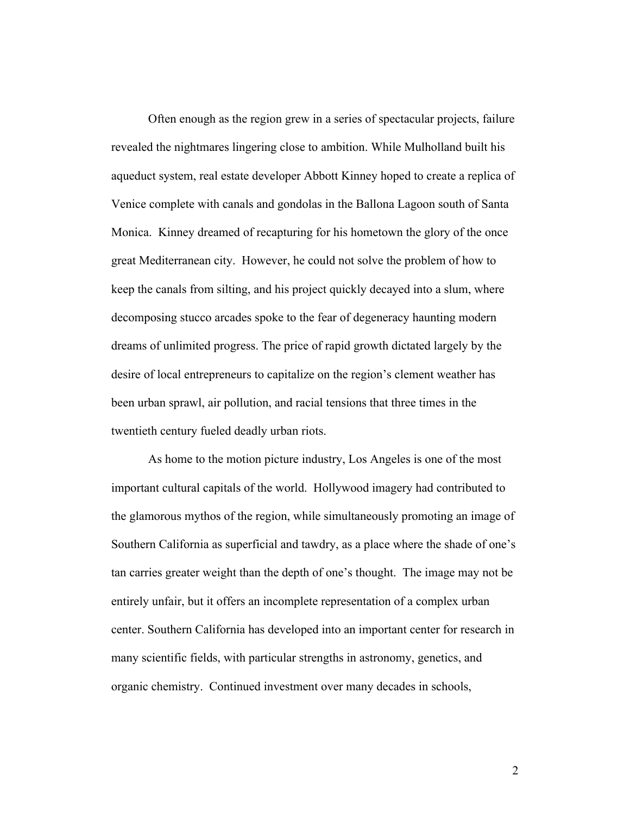Often enough as the region grew in a series of spectacular projects, failure revealed the nightmares lingering close to ambition. While Mulholland built his aqueduct system, real estate developer Abbott Kinney hoped to create a replica of Venice complete with canals and gondolas in the Ballona Lagoon south of Santa Monica. Kinney dreamed of recapturing for his hometown the glory of the once great Mediterranean city. However, he could not solve the problem of how to keep the canals from silting, and his project quickly decayed into a slum, where decomposing stucco arcades spoke to the fear of degeneracy haunting modern dreams of unlimited progress. The price of rapid growth dictated largely by the desire of local entrepreneurs to capitalize on the region's clement weather has been urban sprawl, air pollution, and racial tensions that three times in the twentieth century fueled deadly urban riots.

As home to the motion picture industry, Los Angeles is one of the most important cultural capitals of the world. Hollywood imagery had contributed to the glamorous mythos of the region, while simultaneously promoting an image of Southern California as superficial and tawdry, as a place where the shade of one's tan carries greater weight than the depth of one's thought. The image may not be entirely unfair, but it offers an incomplete representation of a complex urban center. Southern California has developed into an important center for research in many scientific fields, with particular strengths in astronomy, genetics, and organic chemistry. Continued investment over many decades in schools,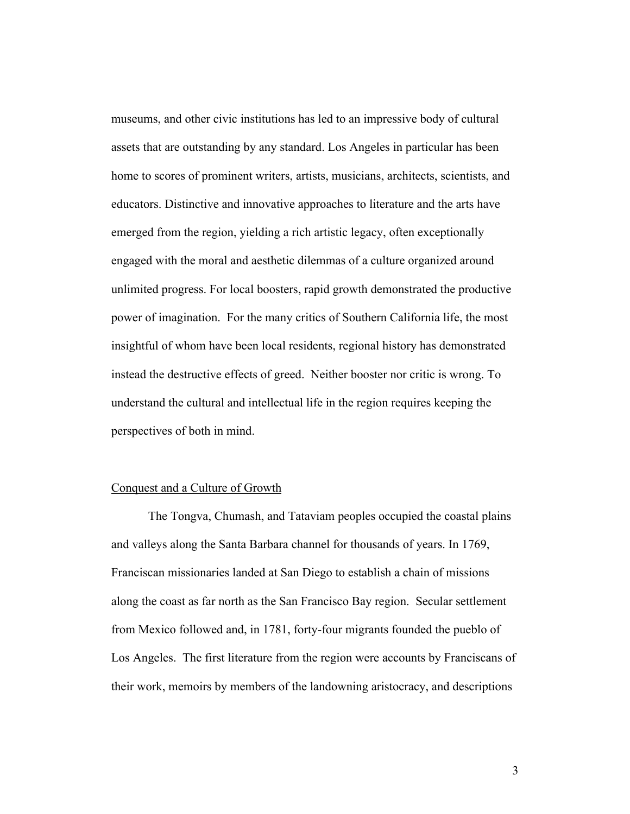museums, and other civic institutions has led to an impressive body of cultural assets that are outstanding by any standard. Los Angeles in particular has been home to scores of prominent writers, artists, musicians, architects, scientists, and educators. Distinctive and innovative approaches to literature and the arts have emerged from the region, yielding a rich artistic legacy, often exceptionally engaged with the moral and aesthetic dilemmas of a culture organized around unlimited progress. For local boosters, rapid growth demonstrated the productive power of imagination. For the many critics of Southern California life, the most insightful of whom have been local residents, regional history has demonstrated instead the destructive effects of greed. Neither booster nor critic is wrong. To understand the cultural and intellectual life in the region requires keeping the perspectives of both in mind.

## Conquest and a Culture of Growth

The Tongva, Chumash, and Tataviam peoples occupied the coastal plains and valleys along the Santa Barbara channel for thousands of years. In 1769, Franciscan missionaries landed at San Diego to establish a chain of missions along the coast as far north as the San Francisco Bay region. Secular settlement from Mexico followed and, in 1781, forty-four migrants founded the pueblo of Los Angeles. The first literature from the region were accounts by Franciscans of their work, memoirs by members of the landowning aristocracy, and descriptions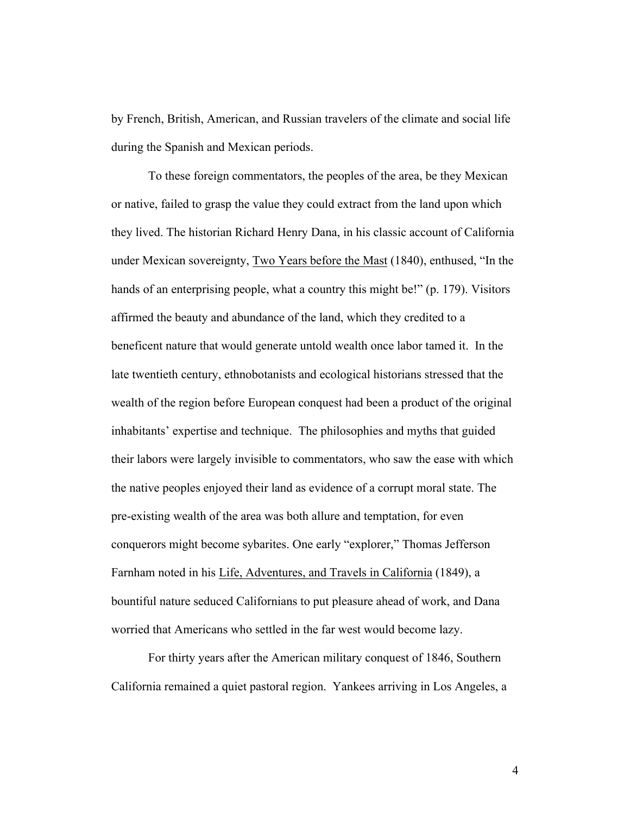by French, British, American, and Russian travelers of the climate and social life during the Spanish and Mexican periods.

To these foreign commentators, the peoples of the area, be they Mexican or native, failed to grasp the value they could extract from the land upon which they lived. The historian Richard Henry Dana, in his classic account of California under Mexican sovereignty, Two Years before the Mast (1840), enthused, "In the hands of an enterprising people, what a country this might be!" (p. 179). Visitors affirmed the beauty and abundance of the land, which they credited to a beneficent nature that would generate untold wealth once labor tamed it. In the late twentieth century, ethnobotanists and ecological historians stressed that the wealth of the region before European conquest had been a product of the original inhabitants' expertise and technique. The philosophies and myths that guided their labors were largely invisible to commentators, who saw the ease with which the native peoples enjoyed their land as evidence of a corrupt moral state. The pre-existing wealth of the area was both allure and temptation, for even conquerors might become sybarites. One early "explorer," Thomas Jefferson Farnham noted in his Life, Adventures, and Travels in California (1849), a bountiful nature seduced Californians to put pleasure ahead of work, and Dana worried that Americans who settled in the far west would become lazy.

For thirty years after the American military conquest of 1846, Southern California remained a quiet pastoral region. Yankees arriving in Los Angeles, a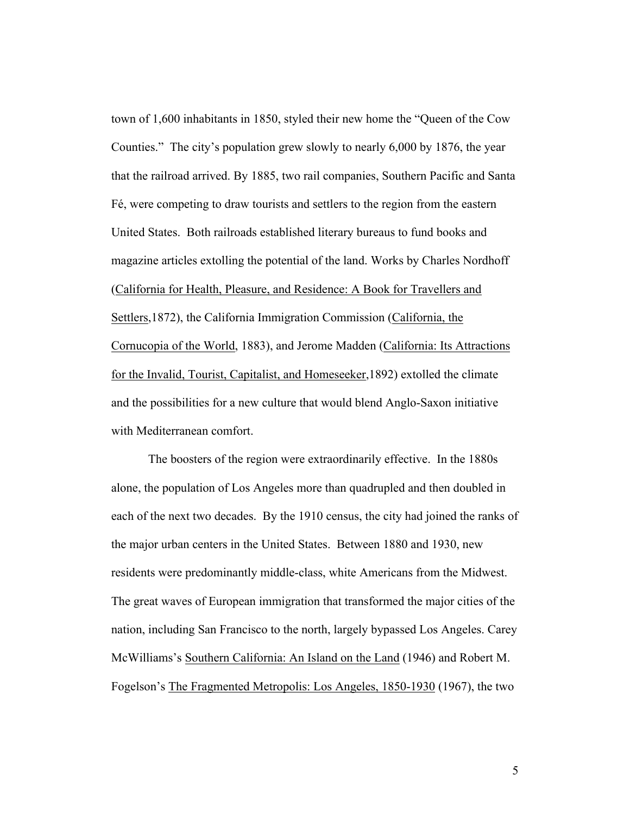town of 1,600 inhabitants in 1850, styled their new home the "Queen of the Cow Counties." The city's population grew slowly to nearly 6,000 by 1876, the year that the railroad arrived. By 1885, two rail companies, Southern Pacific and Santa Fé, were competing to draw tourists and settlers to the region from the eastern United States. Both railroads established literary bureaus to fund books and magazine articles extolling the potential of the land. Works by Charles Nordhoff (California for Health, Pleasure, and Residence: A Book for Travellers and Settlers,1872), the California Immigration Commission (California, the Cornucopia of the World, 1883), and Jerome Madden (California: Its Attractions for the Invalid, Tourist, Capitalist, and Homeseeker,1892) extolled the climate and the possibilities for a new culture that would blend Anglo-Saxon initiative with Mediterranean comfort.

The boosters of the region were extraordinarily effective. In the 1880s alone, the population of Los Angeles more than quadrupled and then doubled in each of the next two decades. By the 1910 census, the city had joined the ranks of the major urban centers in the United States. Between 1880 and 1930, new residents were predominantly middle-class, white Americans from the Midwest. The great waves of European immigration that transformed the major cities of the nation, including San Francisco to the north, largely bypassed Los Angeles. Carey McWilliams's Southern California: An Island on the Land (1946) and Robert M. Fogelson's The Fragmented Metropolis: Los Angeles, 1850-1930 (1967), the two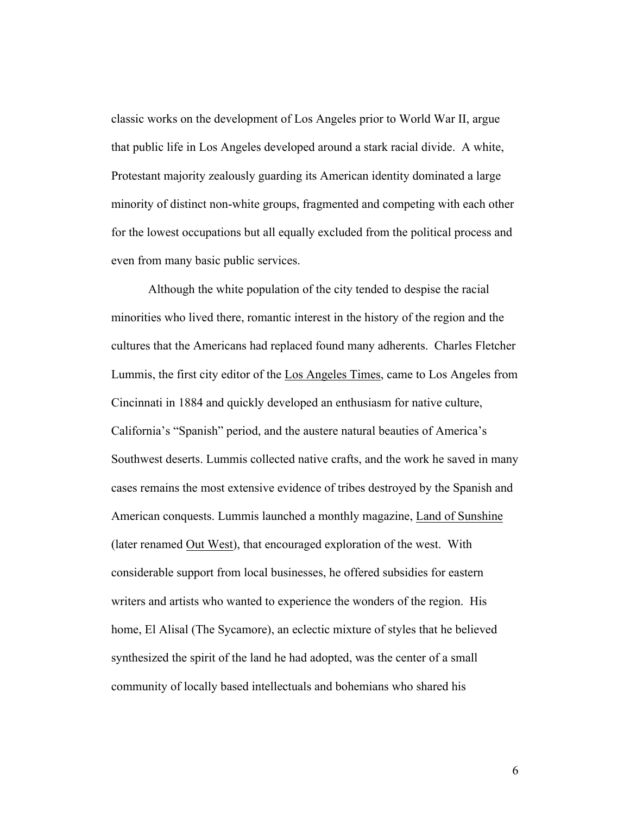classic works on the development of Los Angeles prior to World War II, argue that public life in Los Angeles developed around a stark racial divide. A white, Protestant majority zealously guarding its American identity dominated a large minority of distinct non-white groups, fragmented and competing with each other for the lowest occupations but all equally excluded from the political process and even from many basic public services.

Although the white population of the city tended to despise the racial minorities who lived there, romantic interest in the history of the region and the cultures that the Americans had replaced found many adherents. Charles Fletcher Lummis, the first city editor of the Los Angeles Times, came to Los Angeles from Cincinnati in 1884 and quickly developed an enthusiasm for native culture, California's "Spanish" period, and the austere natural beauties of America's Southwest deserts. Lummis collected native crafts, and the work he saved in many cases remains the most extensive evidence of tribes destroyed by the Spanish and American conquests. Lummis launched a monthly magazine, Land of Sunshine (later renamed Out West), that encouraged exploration of the west. With considerable support from local businesses, he offered subsidies for eastern writers and artists who wanted to experience the wonders of the region. His home, El Alisal (The Sycamore), an eclectic mixture of styles that he believed synthesized the spirit of the land he had adopted, was the center of a small community of locally based intellectuals and bohemians who shared his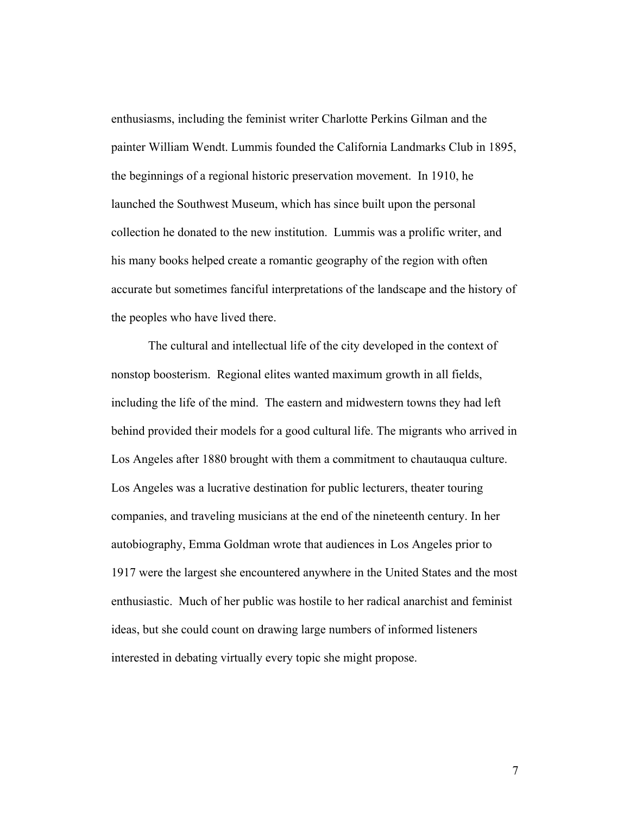enthusiasms, including the feminist writer Charlotte Perkins Gilman and the painter William Wendt. Lummis founded the California Landmarks Club in 1895, the beginnings of a regional historic preservation movement. In 1910, he launched the Southwest Museum, which has since built upon the personal collection he donated to the new institution. Lummis was a prolific writer, and his many books helped create a romantic geography of the region with often accurate but sometimes fanciful interpretations of the landscape and the history of the peoples who have lived there.

The cultural and intellectual life of the city developed in the context of nonstop boosterism. Regional elites wanted maximum growth in all fields, including the life of the mind. The eastern and midwestern towns they had left behind provided their models for a good cultural life. The migrants who arrived in Los Angeles after 1880 brought with them a commitment to chautauqua culture. Los Angeles was a lucrative destination for public lecturers, theater touring companies, and traveling musicians at the end of the nineteenth century. In her autobiography, Emma Goldman wrote that audiences in Los Angeles prior to 1917 were the largest she encountered anywhere in the United States and the most enthusiastic. Much of her public was hostile to her radical anarchist and feminist ideas, but she could count on drawing large numbers of informed listeners interested in debating virtually every topic she might propose.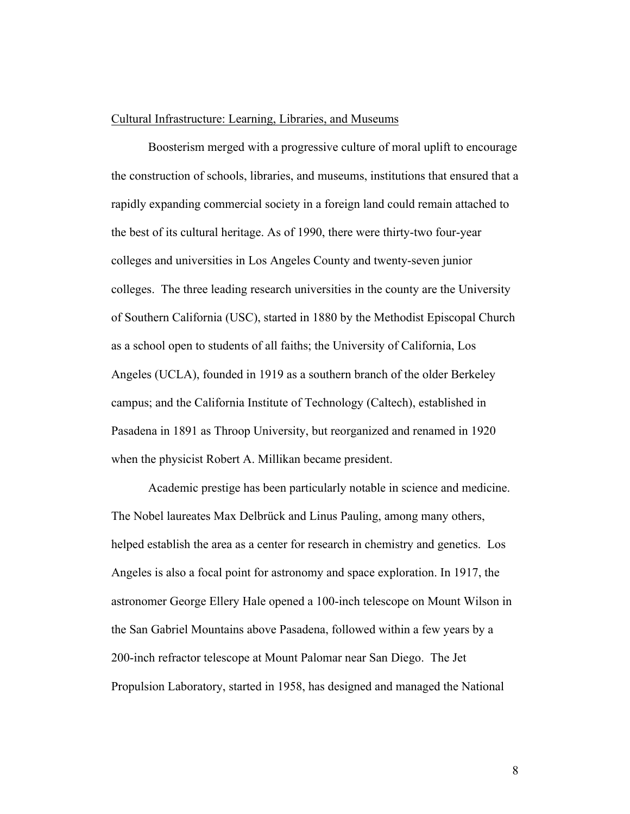#### Cultural Infrastructure: Learning, Libraries, and Museums

Boosterism merged with a progressive culture of moral uplift to encourage the construction of schools, libraries, and museums, institutions that ensured that a rapidly expanding commercial society in a foreign land could remain attached to the best of its cultural heritage. As of 1990, there were thirty-two four-year colleges and universities in Los Angeles County and twenty-seven junior colleges. The three leading research universities in the county are the University of Southern California (USC), started in 1880 by the Methodist Episcopal Church as a school open to students of all faiths; the University of California, Los Angeles (UCLA), founded in 1919 as a southern branch of the older Berkeley campus; and the California Institute of Technology (Caltech), established in Pasadena in 1891 as Throop University, but reorganized and renamed in 1920 when the physicist Robert A. Millikan became president.

Academic prestige has been particularly notable in science and medicine. The Nobel laureates Max Delbrück and Linus Pauling, among many others, helped establish the area as a center for research in chemistry and genetics. Los Angeles is also a focal point for astronomy and space exploration. In 1917, the astronomer George Ellery Hale opened a 100-inch telescope on Mount Wilson in the San Gabriel Mountains above Pasadena, followed within a few years by a 200-inch refractor telescope at Mount Palomar near San Diego. The Jet Propulsion Laboratory, started in 1958, has designed and managed the National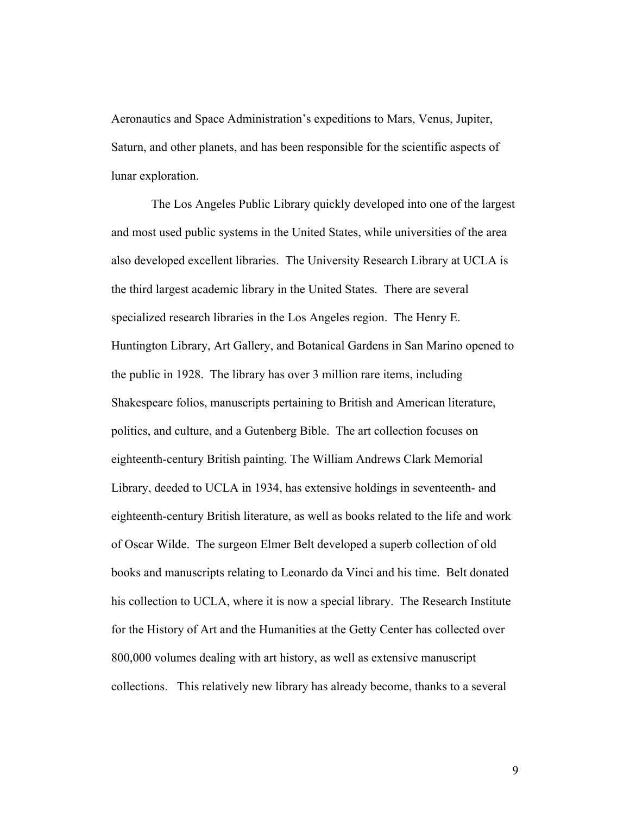Aeronautics and Space Administration's expeditions to Mars, Venus, Jupiter, Saturn, and other planets, and has been responsible for the scientific aspects of lunar exploration.

The Los Angeles Public Library quickly developed into one of the largest and most used public systems in the United States, while universities of the area also developed excellent libraries. The University Research Library at UCLA is the third largest academic library in the United States. There are several specialized research libraries in the Los Angeles region. The Henry E. Huntington Library, Art Gallery, and Botanical Gardens in San Marino opened to the public in 1928. The library has over 3 million rare items, including Shakespeare folios, manuscripts pertaining to British and American literature, politics, and culture, and a Gutenberg Bible. The art collection focuses on eighteenth-century British painting. The William Andrews Clark Memorial Library, deeded to UCLA in 1934, has extensive holdings in seventeenth- and eighteenth-century British literature, as well as books related to the life and work of Oscar Wilde. The surgeon Elmer Belt developed a superb collection of old books and manuscripts relating to Leonardo da Vinci and his time. Belt donated his collection to UCLA, where it is now a special library. The Research Institute for the History of Art and the Humanities at the Getty Center has collected over 800,000 volumes dealing with art history, as well as extensive manuscript collections. This relatively new library has already become, thanks to a several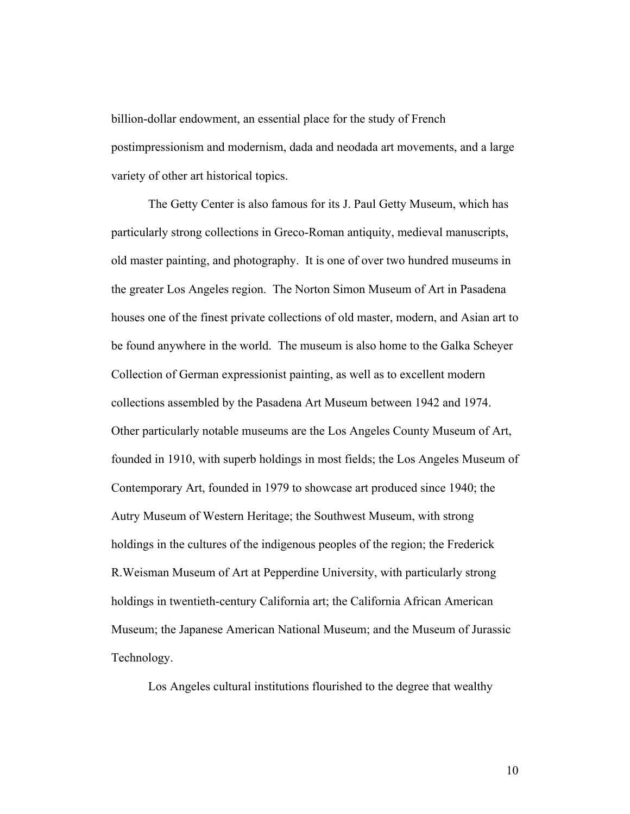billion-dollar endowment, an essential place for the study of French postimpressionism and modernism, dada and neodada art movements, and a large variety of other art historical topics.

The Getty Center is also famous for its J. Paul Getty Museum, which has particularly strong collections in Greco-Roman antiquity, medieval manuscripts, old master painting, and photography. It is one of over two hundred museums in the greater Los Angeles region. The Norton Simon Museum of Art in Pasadena houses one of the finest private collections of old master, modern, and Asian art to be found anywhere in the world. The museum is also home to the Galka Scheyer Collection of German expressionist painting, as well as to excellent modern collections assembled by the Pasadena Art Museum between 1942 and 1974. Other particularly notable museums are the Los Angeles County Museum of Art, founded in 1910, with superb holdings in most fields; the Los Angeles Museum of Contemporary Art, founded in 1979 to showcase art produced since 1940; the Autry Museum of Western Heritage; the Southwest Museum, with strong holdings in the cultures of the indigenous peoples of the region; the Frederick R.Weisman Museum of Art at Pepperdine University, with particularly strong holdings in twentieth-century California art; the California African American Museum; the Japanese American National Museum; and the Museum of Jurassic Technology.

Los Angeles cultural institutions flourished to the degree that wealthy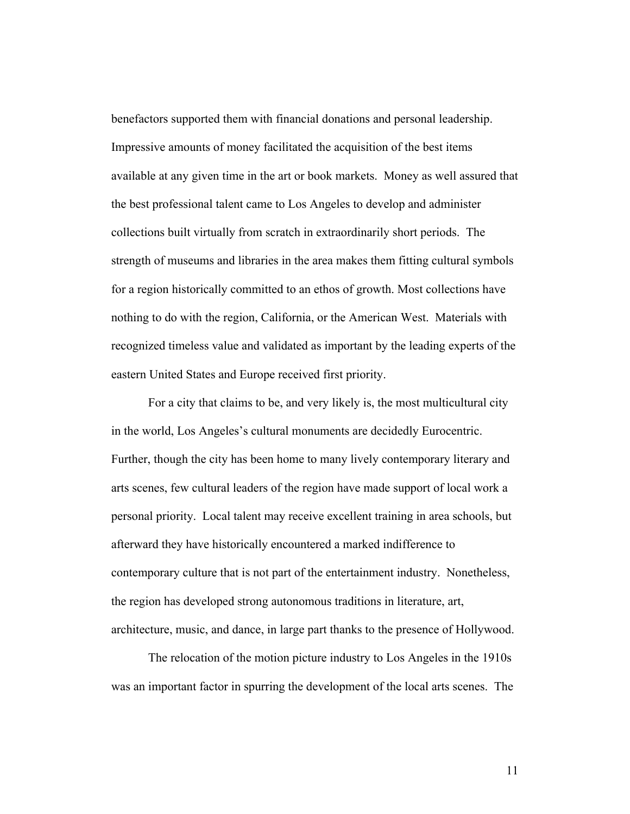benefactors supported them with financial donations and personal leadership. Impressive amounts of money facilitated the acquisition of the best items available at any given time in the art or book markets. Money as well assured that the best professional talent came to Los Angeles to develop and administer collections built virtually from scratch in extraordinarily short periods. The strength of museums and libraries in the area makes them fitting cultural symbols for a region historically committed to an ethos of growth. Most collections have nothing to do with the region, California, or the American West. Materials with recognized timeless value and validated as important by the leading experts of the eastern United States and Europe received first priority.

For a city that claims to be, and very likely is, the most multicultural city in the world, Los Angeles's cultural monuments are decidedly Eurocentric. Further, though the city has been home to many lively contemporary literary and arts scenes, few cultural leaders of the region have made support of local work a personal priority. Local talent may receive excellent training in area schools, but afterward they have historically encountered a marked indifference to contemporary culture that is not part of the entertainment industry. Nonetheless, the region has developed strong autonomous traditions in literature, art, architecture, music, and dance, in large part thanks to the presence of Hollywood.

The relocation of the motion picture industry to Los Angeles in the 1910s was an important factor in spurring the development of the local arts scenes. The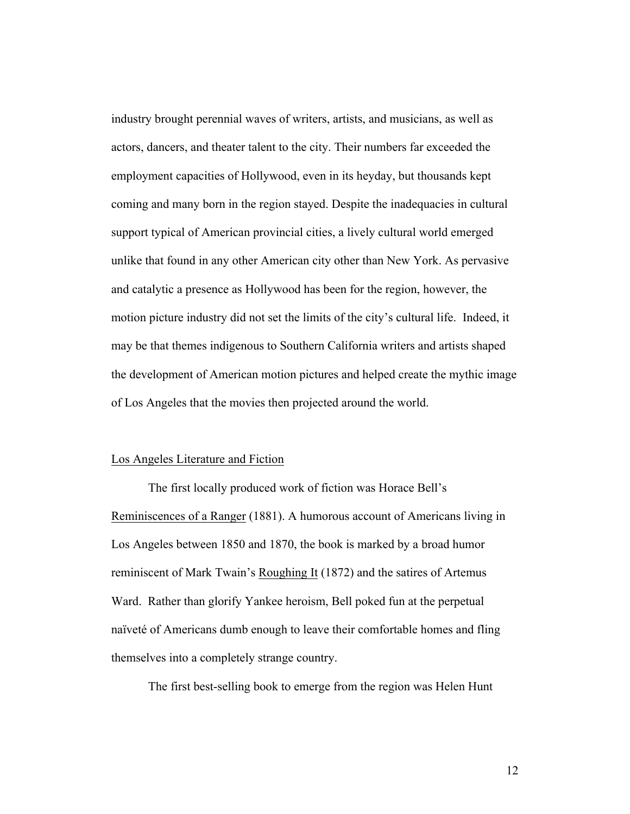industry brought perennial waves of writers, artists, and musicians, as well as actors, dancers, and theater talent to the city. Their numbers far exceeded the employment capacities of Hollywood, even in its heyday, but thousands kept coming and many born in the region stayed. Despite the inadequacies in cultural support typical of American provincial cities, a lively cultural world emerged unlike that found in any other American city other than New York. As pervasive and catalytic a presence as Hollywood has been for the region, however, the motion picture industry did not set the limits of the city's cultural life. Indeed, it may be that themes indigenous to Southern California writers and artists shaped the development of American motion pictures and helped create the mythic image of Los Angeles that the movies then projected around the world.

#### Los Angeles Literature and Fiction

The first locally produced work of fiction was Horace Bell's Reminiscences of a Ranger (1881). A humorous account of Americans living in Los Angeles between 1850 and 1870, the book is marked by a broad humor reminiscent of Mark Twain's Roughing It (1872) and the satires of Artemus Ward. Rather than glorify Yankee heroism, Bell poked fun at the perpetual naïveté of Americans dumb enough to leave their comfortable homes and fling themselves into a completely strange country.

The first best-selling book to emerge from the region was Helen Hunt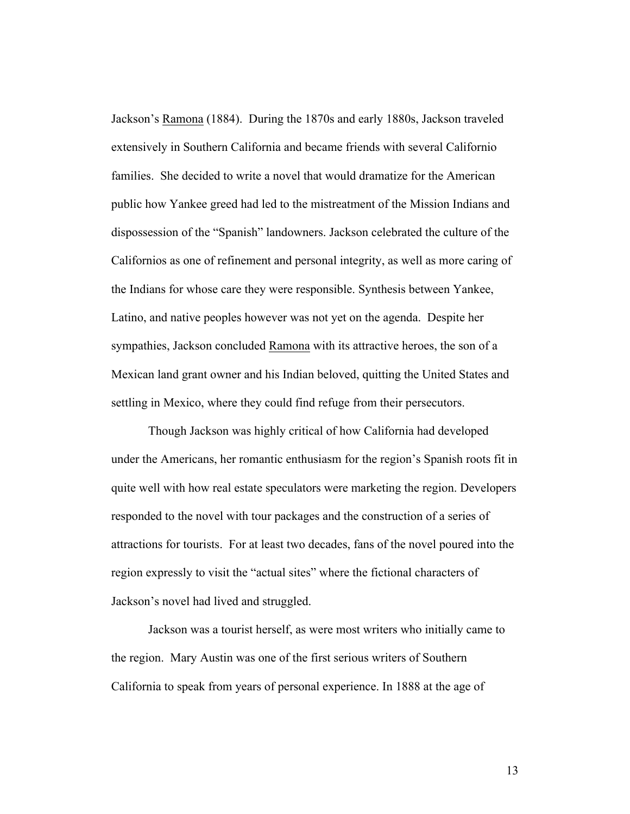Jackson's Ramona (1884). During the 1870s and early 1880s, Jackson traveled extensively in Southern California and became friends with several Californio families. She decided to write a novel that would dramatize for the American public how Yankee greed had led to the mistreatment of the Mission Indians and dispossession of the "Spanish" landowners. Jackson celebrated the culture of the Californios as one of refinement and personal integrity, as well as more caring of the Indians for whose care they were responsible. Synthesis between Yankee, Latino, and native peoples however was not yet on the agenda. Despite her sympathies, Jackson concluded Ramona with its attractive heroes, the son of a Mexican land grant owner and his Indian beloved, quitting the United States and settling in Mexico, where they could find refuge from their persecutors.

Though Jackson was highly critical of how California had developed under the Americans, her romantic enthusiasm for the region's Spanish roots fit in quite well with how real estate speculators were marketing the region. Developers responded to the novel with tour packages and the construction of a series of attractions for tourists. For at least two decades, fans of the novel poured into the region expressly to visit the "actual sites" where the fictional characters of Jackson's novel had lived and struggled.

Jackson was a tourist herself, as were most writers who initially came to the region. Mary Austin was one of the first serious writers of Southern California to speak from years of personal experience. In 1888 at the age of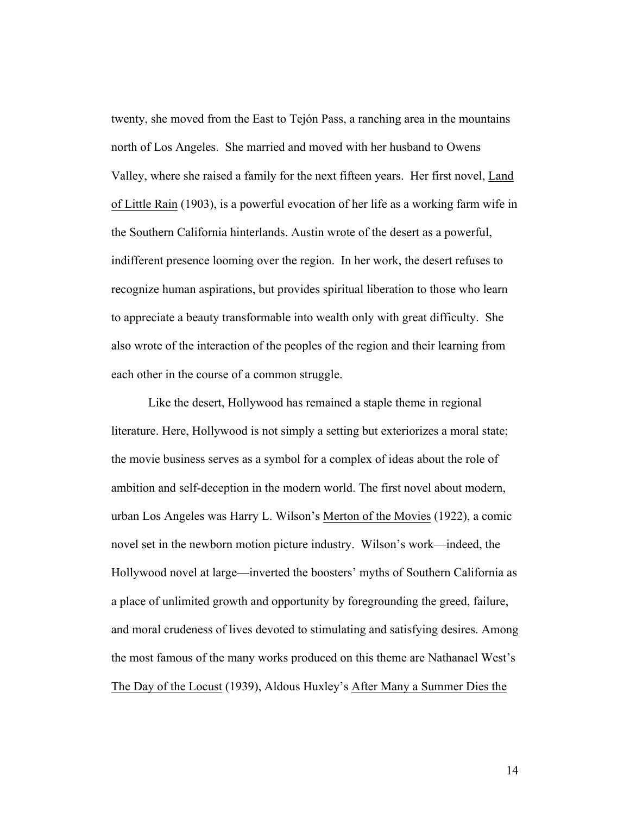twenty, she moved from the East to Tejón Pass, a ranching area in the mountains north of Los Angeles. She married and moved with her husband to Owens Valley, where she raised a family for the next fifteen years. Her first novel, Land of Little Rain (1903), is a powerful evocation of her life as a working farm wife in the Southern California hinterlands. Austin wrote of the desert as a powerful, indifferent presence looming over the region. In her work, the desert refuses to recognize human aspirations, but provides spiritual liberation to those who learn to appreciate a beauty transformable into wealth only with great difficulty. She also wrote of the interaction of the peoples of the region and their learning from each other in the course of a common struggle.

Like the desert, Hollywood has remained a staple theme in regional literature. Here, Hollywood is not simply a setting but exteriorizes a moral state; the movie business serves as a symbol for a complex of ideas about the role of ambition and self-deception in the modern world. The first novel about modern, urban Los Angeles was Harry L. Wilson's Merton of the Movies (1922), a comic novel set in the newborn motion picture industry. Wilson's work—indeed, the Hollywood novel at large—inverted the boosters' myths of Southern California as a place of unlimited growth and opportunity by foregrounding the greed, failure, and moral crudeness of lives devoted to stimulating and satisfying desires. Among the most famous of the many works produced on this theme are Nathanael West's The Day of the Locust (1939), Aldous Huxley's After Many a Summer Dies the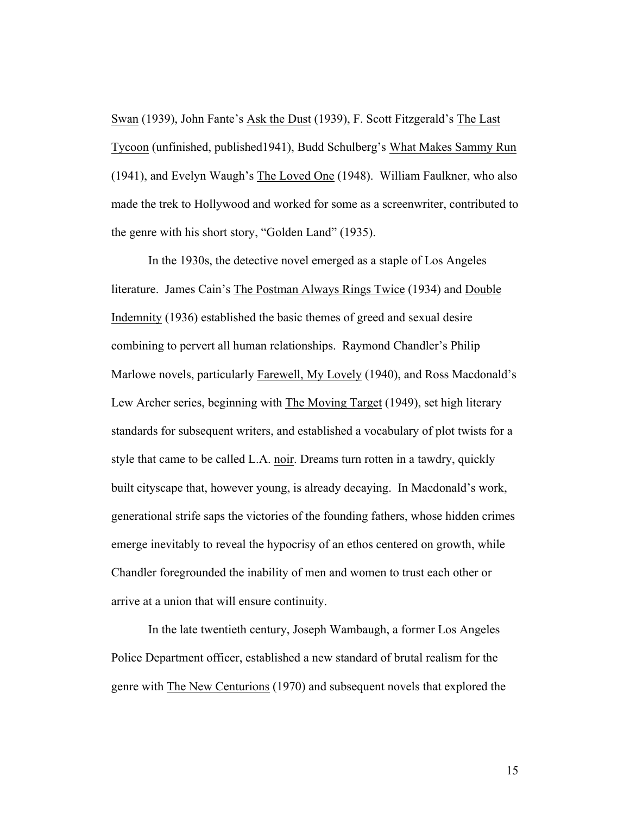Swan (1939), John Fante's Ask the Dust (1939), F. Scott Fitzgerald's The Last Tycoon (unfinished, published1941), Budd Schulberg's What Makes Sammy Run (1941), and Evelyn Waugh's The Loved One (1948). William Faulkner, who also made the trek to Hollywood and worked for some as a screenwriter, contributed to the genre with his short story, "Golden Land" (1935).

In the 1930s, the detective novel emerged as a staple of Los Angeles literature. James Cain's The Postman Always Rings Twice (1934) and Double Indemnity (1936) established the basic themes of greed and sexual desire combining to pervert all human relationships. Raymond Chandler's Philip Marlowe novels, particularly Farewell, My Lovely (1940), and Ross Macdonald's Lew Archer series, beginning with The Moving Target (1949), set high literary standards for subsequent writers, and established a vocabulary of plot twists for a style that came to be called L.A. noir. Dreams turn rotten in a tawdry, quickly built cityscape that, however young, is already decaying. In Macdonald's work, generational strife saps the victories of the founding fathers, whose hidden crimes emerge inevitably to reveal the hypocrisy of an ethos centered on growth, while Chandler foregrounded the inability of men and women to trust each other or arrive at a union that will ensure continuity.

In the late twentieth century, Joseph Wambaugh, a former Los Angeles Police Department officer, established a new standard of brutal realism for the genre with The New Centurions (1970) and subsequent novels that explored the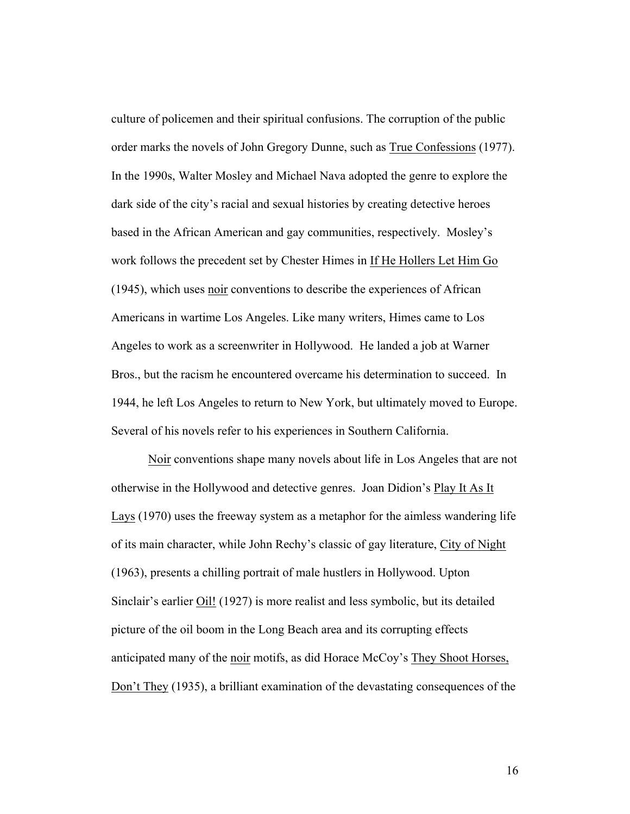culture of policemen and their spiritual confusions. The corruption of the public order marks the novels of John Gregory Dunne, such as True Confessions (1977). In the 1990s, Walter Mosley and Michael Nava adopted the genre to explore the dark side of the city's racial and sexual histories by creating detective heroes based in the African American and gay communities, respectively. Mosley's work follows the precedent set by Chester Himes in If He Hollers Let Him Go (1945), which uses noir conventions to describe the experiences of African Americans in wartime Los Angeles. Like many writers, Himes came to Los Angeles to work as a screenwriter in Hollywood. He landed a job at Warner Bros., but the racism he encountered overcame his determination to succeed. In 1944, he left Los Angeles to return to New York, but ultimately moved to Europe. Several of his novels refer to his experiences in Southern California.

Noir conventions shape many novels about life in Los Angeles that are not otherwise in the Hollywood and detective genres. Joan Didion's Play It As It Lays (1970) uses the freeway system as a metaphor for the aimless wandering life of its main character, while John Rechy's classic of gay literature, City of Night (1963), presents a chilling portrait of male hustlers in Hollywood. Upton Sinclair's earlier Oil! (1927) is more realist and less symbolic, but its detailed picture of the oil boom in the Long Beach area and its corrupting effects anticipated many of the noir motifs, as did Horace McCoy's They Shoot Horses, Don't They (1935), a brilliant examination of the devastating consequences of the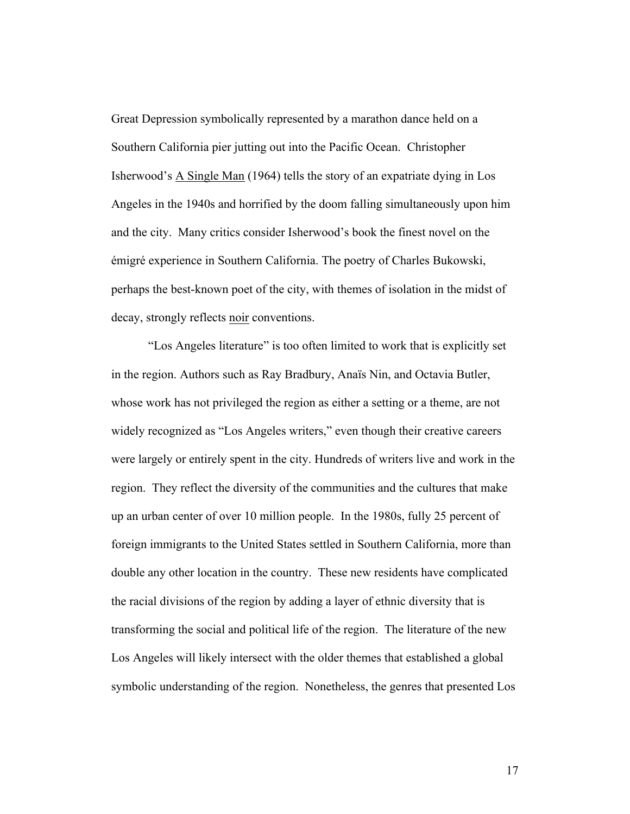Great Depression symbolically represented by a marathon dance held on a Southern California pier jutting out into the Pacific Ocean. Christopher Isherwood's A Single Man (1964) tells the story of an expatriate dying in Los Angeles in the 1940s and horrified by the doom falling simultaneously upon him and the city. Many critics consider Isherwood's book the finest novel on the émigré experience in Southern California. The poetry of Charles Bukowski, perhaps the best-known poet of the city, with themes of isolation in the midst of decay, strongly reflects noir conventions.

"Los Angeles literature" is too often limited to work that is explicitly set in the region. Authors such as Ray Bradbury, Anaïs Nin, and Octavia Butler, whose work has not privileged the region as either a setting or a theme, are not widely recognized as "Los Angeles writers," even though their creative careers were largely or entirely spent in the city. Hundreds of writers live and work in the region. They reflect the diversity of the communities and the cultures that make up an urban center of over 10 million people. In the 1980s, fully 25 percent of foreign immigrants to the United States settled in Southern California, more than double any other location in the country. These new residents have complicated the racial divisions of the region by adding a layer of ethnic diversity that is transforming the social and political life of the region. The literature of the new Los Angeles will likely intersect with the older themes that established a global symbolic understanding of the region. Nonetheless, the genres that presented Los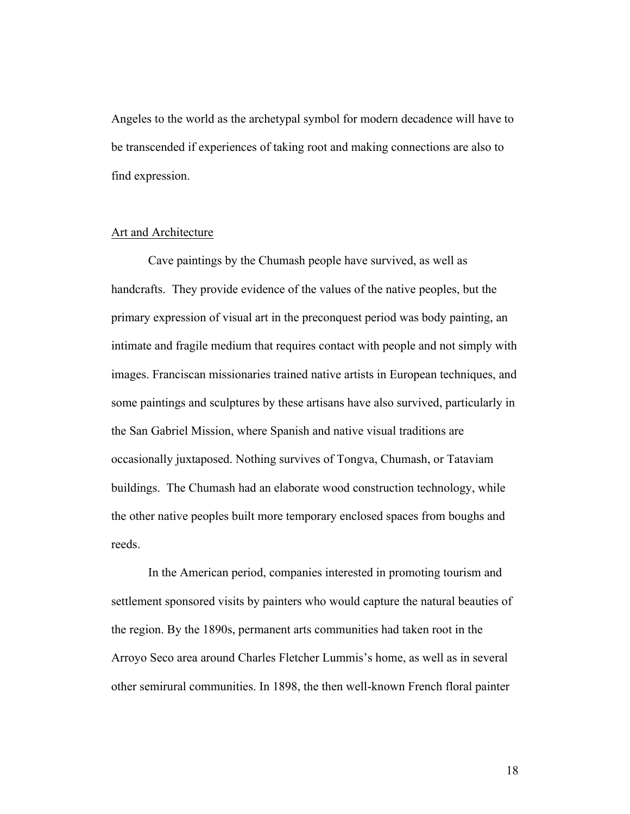Angeles to the world as the archetypal symbol for modern decadence will have to be transcended if experiences of taking root and making connections are also to find expression.

### Art and Architecture

Cave paintings by the Chumash people have survived, as well as handcrafts. They provide evidence of the values of the native peoples, but the primary expression of visual art in the preconquest period was body painting, an intimate and fragile medium that requires contact with people and not simply with images. Franciscan missionaries trained native artists in European techniques, and some paintings and sculptures by these artisans have also survived, particularly in the San Gabriel Mission, where Spanish and native visual traditions are occasionally juxtaposed. Nothing survives of Tongva, Chumash, or Tataviam buildings. The Chumash had an elaborate wood construction technology, while the other native peoples built more temporary enclosed spaces from boughs and reeds.

In the American period, companies interested in promoting tourism and settlement sponsored visits by painters who would capture the natural beauties of the region. By the 1890s, permanent arts communities had taken root in the Arroyo Seco area around Charles Fletcher Lummis's home, as well as in several other semirural communities. In 1898, the then well-known French floral painter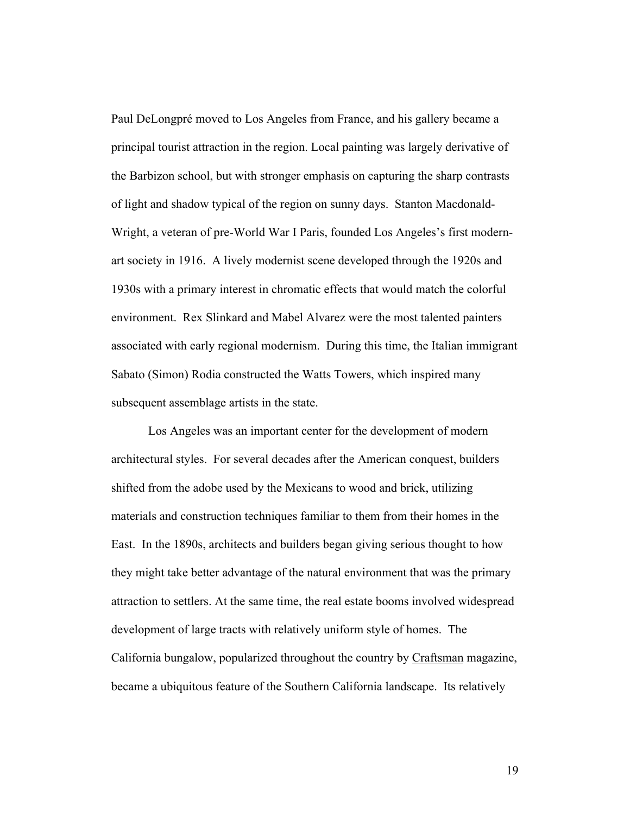Paul DeLongpré moved to Los Angeles from France, and his gallery became a principal tourist attraction in the region. Local painting was largely derivative of the Barbizon school, but with stronger emphasis on capturing the sharp contrasts of light and shadow typical of the region on sunny days. Stanton Macdonald-Wright, a veteran of pre-World War I Paris, founded Los Angeles's first modernart society in 1916. A lively modernist scene developed through the 1920s and 1930s with a primary interest in chromatic effects that would match the colorful environment. Rex Slinkard and Mabel Alvarez were the most talented painters associated with early regional modernism. During this time, the Italian immigrant Sabato (Simon) Rodia constructed the Watts Towers, which inspired many subsequent assemblage artists in the state.

Los Angeles was an important center for the development of modern architectural styles. For several decades after the American conquest, builders shifted from the adobe used by the Mexicans to wood and brick, utilizing materials and construction techniques familiar to them from their homes in the East. In the 1890s, architects and builders began giving serious thought to how they might take better advantage of the natural environment that was the primary attraction to settlers. At the same time, the real estate booms involved widespread development of large tracts with relatively uniform style of homes. The California bungalow, popularized throughout the country by Craftsman magazine, became a ubiquitous feature of the Southern California landscape. Its relatively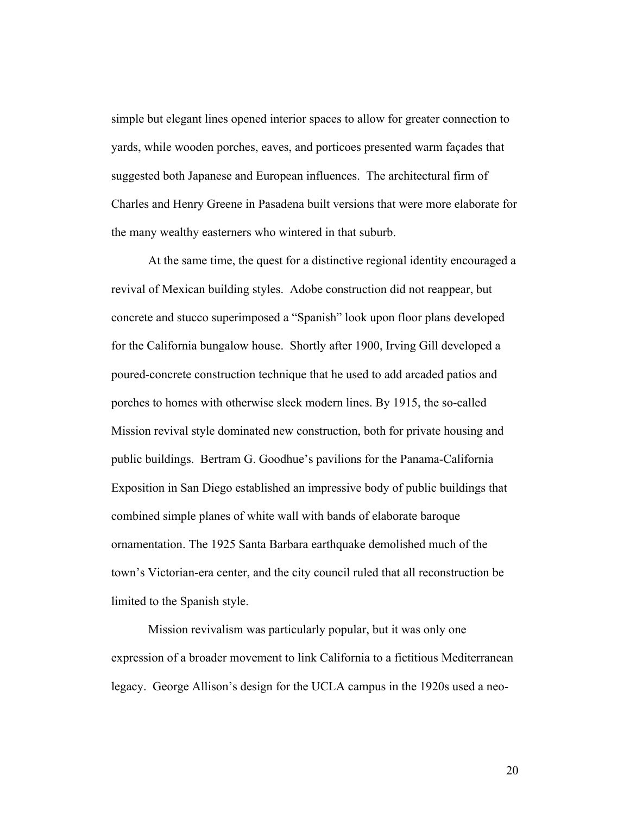simple but elegant lines opened interior spaces to allow for greater connection to yards, while wooden porches, eaves, and porticoes presented warm façades that suggested both Japanese and European influences. The architectural firm of Charles and Henry Greene in Pasadena built versions that were more elaborate for the many wealthy easterners who wintered in that suburb.

At the same time, the quest for a distinctive regional identity encouraged a revival of Mexican building styles. Adobe construction did not reappear, but concrete and stucco superimposed a "Spanish" look upon floor plans developed for the California bungalow house. Shortly after 1900, Irving Gill developed a poured-concrete construction technique that he used to add arcaded patios and porches to homes with otherwise sleek modern lines. By 1915, the so-called Mission revival style dominated new construction, both for private housing and public buildings. Bertram G. Goodhue's pavilions for the Panama-California Exposition in San Diego established an impressive body of public buildings that combined simple planes of white wall with bands of elaborate baroque ornamentation. The 1925 Santa Barbara earthquake demolished much of the town's Victorian-era center, and the city council ruled that all reconstruction be limited to the Spanish style.

Mission revivalism was particularly popular, but it was only one expression of a broader movement to link California to a fictitious Mediterranean legacy. George Allison's design for the UCLA campus in the 1920s used a neo-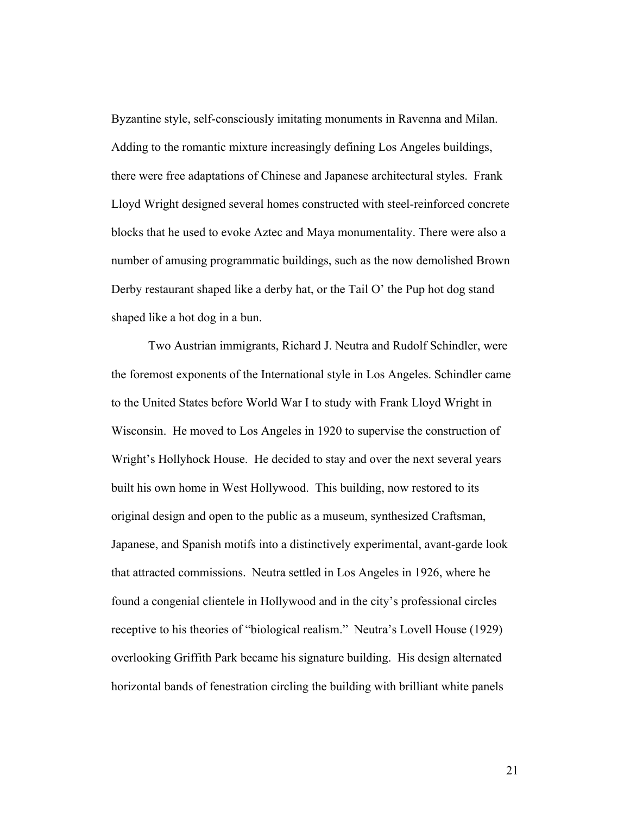Byzantine style, self-consciously imitating monuments in Ravenna and Milan. Adding to the romantic mixture increasingly defining Los Angeles buildings, there were free adaptations of Chinese and Japanese architectural styles. Frank Lloyd Wright designed several homes constructed with steel-reinforced concrete blocks that he used to evoke Aztec and Maya monumentality. There were also a number of amusing programmatic buildings, such as the now demolished Brown Derby restaurant shaped like a derby hat, or the Tail O' the Pup hot dog stand shaped like a hot dog in a bun.

Two Austrian immigrants, Richard J. Neutra and Rudolf Schindler, were the foremost exponents of the International style in Los Angeles. Schindler came to the United States before World War I to study with Frank Lloyd Wright in Wisconsin. He moved to Los Angeles in 1920 to supervise the construction of Wright's Hollyhock House. He decided to stay and over the next several years built his own home in West Hollywood. This building, now restored to its original design and open to the public as a museum, synthesized Craftsman, Japanese, and Spanish motifs into a distinctively experimental, avant-garde look that attracted commissions. Neutra settled in Los Angeles in 1926, where he found a congenial clientele in Hollywood and in the city's professional circles receptive to his theories of "biological realism." Neutra's Lovell House (1929) overlooking Griffith Park became his signature building. His design alternated horizontal bands of fenestration circling the building with brilliant white panels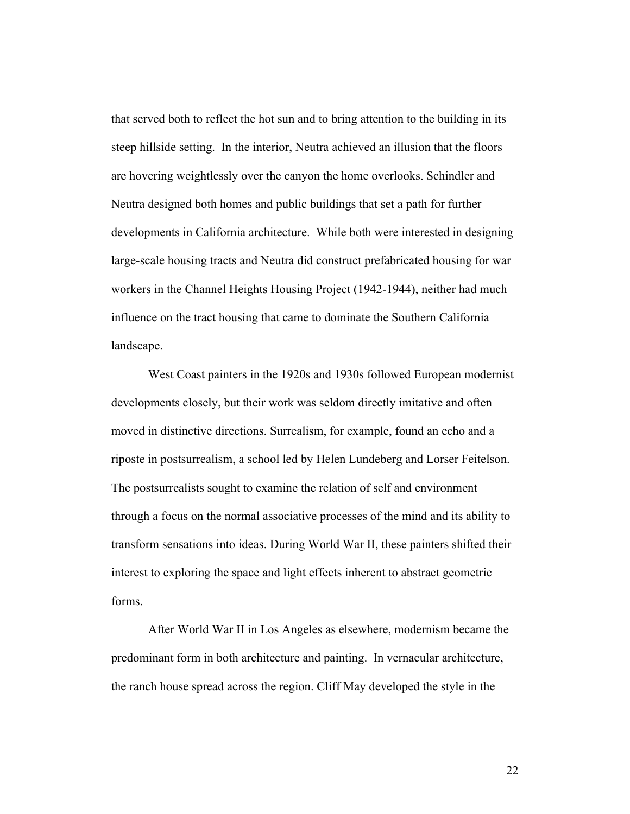that served both to reflect the hot sun and to bring attention to the building in its steep hillside setting. In the interior, Neutra achieved an illusion that the floors are hovering weightlessly over the canyon the home overlooks. Schindler and Neutra designed both homes and public buildings that set a path for further developments in California architecture. While both were interested in designing large-scale housing tracts and Neutra did construct prefabricated housing for war workers in the Channel Heights Housing Project (1942-1944), neither had much influence on the tract housing that came to dominate the Southern California landscape.

West Coast painters in the 1920s and 1930s followed European modernist developments closely, but their work was seldom directly imitative and often moved in distinctive directions. Surrealism, for example, found an echo and a riposte in postsurrealism, a school led by Helen Lundeberg and Lorser Feitelson. The postsurrealists sought to examine the relation of self and environment through a focus on the normal associative processes of the mind and its ability to transform sensations into ideas. During World War II, these painters shifted their interest to exploring the space and light effects inherent to abstract geometric forms.

After World War II in Los Angeles as elsewhere, modernism became the predominant form in both architecture and painting. In vernacular architecture, the ranch house spread across the region. Cliff May developed the style in the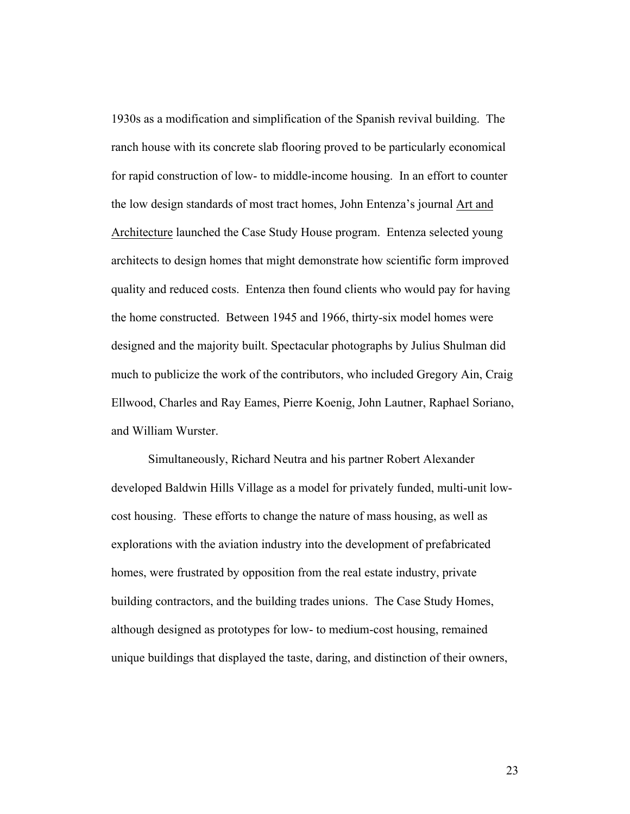1930s as a modification and simplification of the Spanish revival building. The ranch house with its concrete slab flooring proved to be particularly economical for rapid construction of low- to middle-income housing. In an effort to counter the low design standards of most tract homes, John Entenza's journal Art and Architecture launched the Case Study House program. Entenza selected young architects to design homes that might demonstrate how scientific form improved quality and reduced costs. Entenza then found clients who would pay for having the home constructed. Between 1945 and 1966, thirty-six model homes were designed and the majority built. Spectacular photographs by Julius Shulman did much to publicize the work of the contributors, who included Gregory Ain, Craig Ellwood, Charles and Ray Eames, Pierre Koenig, John Lautner, Raphael Soriano, and William Wurster.

Simultaneously, Richard Neutra and his partner Robert Alexander developed Baldwin Hills Village as a model for privately funded, multi-unit lowcost housing. These efforts to change the nature of mass housing, as well as explorations with the aviation industry into the development of prefabricated homes, were frustrated by opposition from the real estate industry, private building contractors, and the building trades unions. The Case Study Homes, although designed as prototypes for low- to medium-cost housing, remained unique buildings that displayed the taste, daring, and distinction of their owners,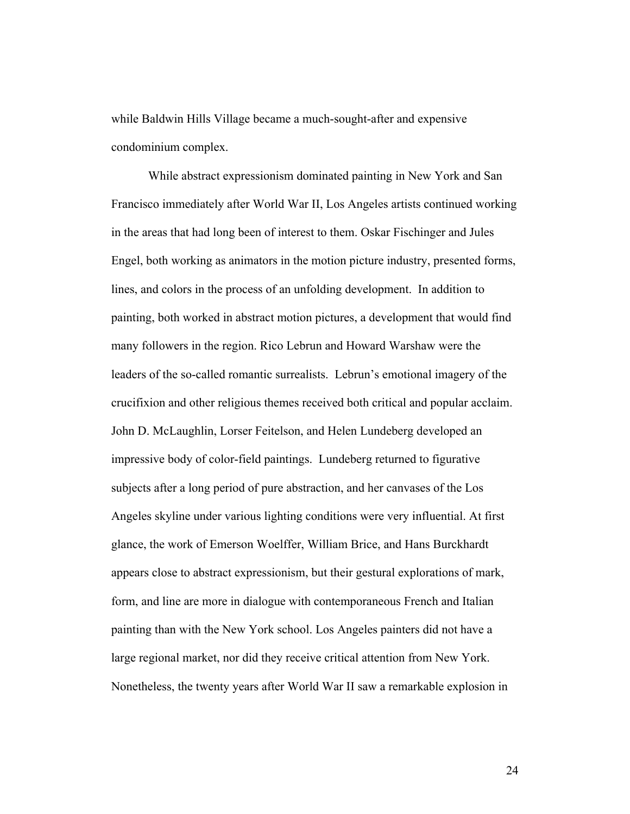while Baldwin Hills Village became a much-sought-after and expensive condominium complex.

While abstract expressionism dominated painting in New York and San Francisco immediately after World War II, Los Angeles artists continued working in the areas that had long been of interest to them. Oskar Fischinger and Jules Engel, both working as animators in the motion picture industry, presented forms, lines, and colors in the process of an unfolding development. In addition to painting, both worked in abstract motion pictures, a development that would find many followers in the region. Rico Lebrun and Howard Warshaw were the leaders of the so-called romantic surrealists. Lebrun's emotional imagery of the crucifixion and other religious themes received both critical and popular acclaim. John D. McLaughlin, Lorser Feitelson, and Helen Lundeberg developed an impressive body of color-field paintings. Lundeberg returned to figurative subjects after a long period of pure abstraction, and her canvases of the Los Angeles skyline under various lighting conditions were very influential. At first glance, the work of Emerson Woelffer, William Brice, and Hans Burckhardt appears close to abstract expressionism, but their gestural explorations of mark, form, and line are more in dialogue with contemporaneous French and Italian painting than with the New York school. Los Angeles painters did not have a large regional market, nor did they receive critical attention from New York. Nonetheless, the twenty years after World War II saw a remarkable explosion in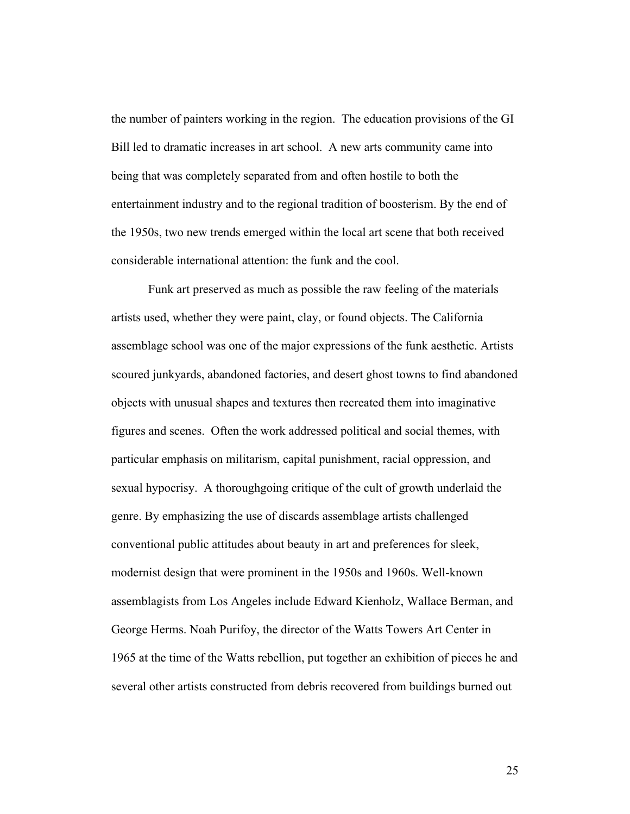the number of painters working in the region. The education provisions of the GI Bill led to dramatic increases in art school. A new arts community came into being that was completely separated from and often hostile to both the entertainment industry and to the regional tradition of boosterism. By the end of the 1950s, two new trends emerged within the local art scene that both received considerable international attention: the funk and the cool.

Funk art preserved as much as possible the raw feeling of the materials artists used, whether they were paint, clay, or found objects. The California assemblage school was one of the major expressions of the funk aesthetic. Artists scoured junkyards, abandoned factories, and desert ghost towns to find abandoned objects with unusual shapes and textures then recreated them into imaginative figures and scenes. Often the work addressed political and social themes, with particular emphasis on militarism, capital punishment, racial oppression, and sexual hypocrisy. A thoroughgoing critique of the cult of growth underlaid the genre. By emphasizing the use of discards assemblage artists challenged conventional public attitudes about beauty in art and preferences for sleek, modernist design that were prominent in the 1950s and 1960s. Well-known assemblagists from Los Angeles include Edward Kienholz, Wallace Berman, and George Herms. Noah Purifoy, the director of the Watts Towers Art Center in 1965 at the time of the Watts rebellion, put together an exhibition of pieces he and several other artists constructed from debris recovered from buildings burned out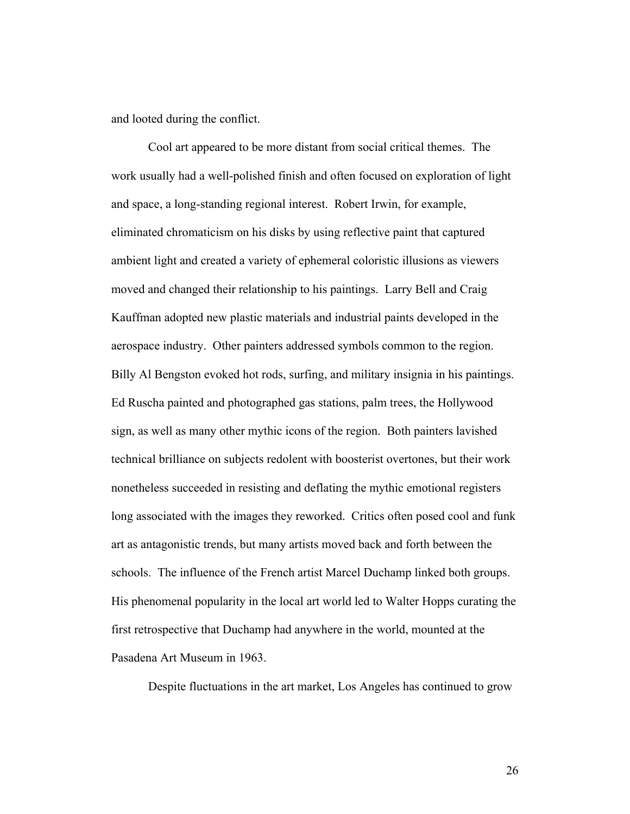and looted during the conflict.

Cool art appeared to be more distant from social critical themes. The work usually had a well-polished finish and often focused on exploration of light and space, a long-standing regional interest. Robert Irwin, for example, eliminated chromaticism on his disks by using reflective paint that captured ambient light and created a variety of ephemeral coloristic illusions as viewers moved and changed their relationship to his paintings. Larry Bell and Craig Kauffman adopted new plastic materials and industrial paints developed in the aerospace industry. Other painters addressed symbols common to the region. Billy Al Bengston evoked hot rods, surfing, and military insignia in his paintings. Ed Ruscha painted and photographed gas stations, palm trees, the Hollywood sign, as well as many other mythic icons of the region. Both painters lavished technical brilliance on subjects redolent with boosterist overtones, but their work nonetheless succeeded in resisting and deflating the mythic emotional registers long associated with the images they reworked. Critics often posed cool and funk art as antagonistic trends, but many artists moved back and forth between the schools. The influence of the French artist Marcel Duchamp linked both groups. His phenomenal popularity in the local art world led to Walter Hopps curating the first retrospective that Duchamp had anywhere in the world, mounted at the Pasadena Art Museum in 1963.

Despite fluctuations in the art market, Los Angeles has continued to grow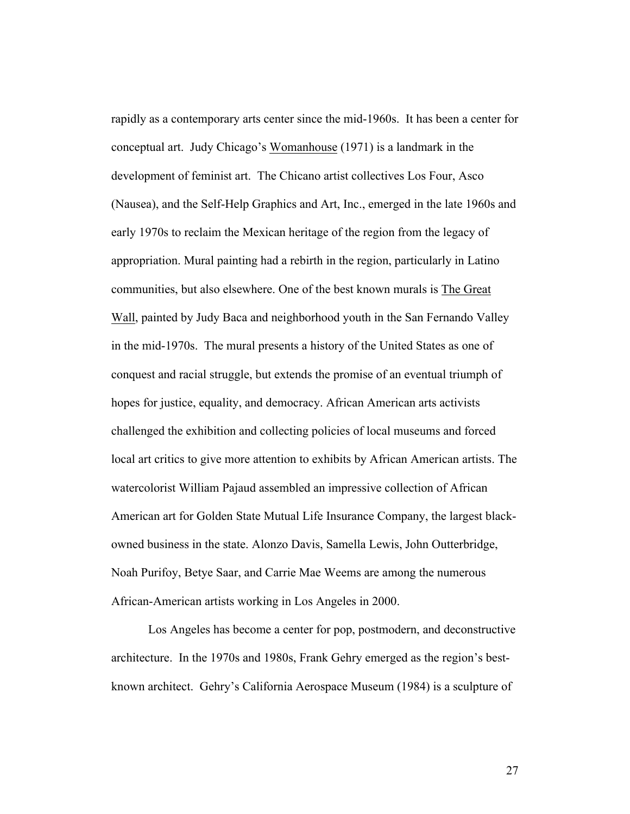rapidly as a contemporary arts center since the mid-1960s. It has been a center for conceptual art. Judy Chicago's Womanhouse (1971) is a landmark in the development of feminist art. The Chicano artist collectives Los Four, Asco (Nausea), and the Self-Help Graphics and Art, Inc., emerged in the late 1960s and early 1970s to reclaim the Mexican heritage of the region from the legacy of appropriation. Mural painting had a rebirth in the region, particularly in Latino communities, but also elsewhere. One of the best known murals is The Great Wall, painted by Judy Baca and neighborhood youth in the San Fernando Valley in the mid-1970s. The mural presents a history of the United States as one of conquest and racial struggle, but extends the promise of an eventual triumph of hopes for justice, equality, and democracy. African American arts activists challenged the exhibition and collecting policies of local museums and forced local art critics to give more attention to exhibits by African American artists. The watercolorist William Pajaud assembled an impressive collection of African American art for Golden State Mutual Life Insurance Company, the largest blackowned business in the state. Alonzo Davis, Samella Lewis, John Outterbridge, Noah Purifoy, Betye Saar, and Carrie Mae Weems are among the numerous African-American artists working in Los Angeles in 2000.

Los Angeles has become a center for pop, postmodern, and deconstructive architecture. In the 1970s and 1980s, Frank Gehry emerged as the region's bestknown architect. Gehry's California Aerospace Museum (1984) is a sculpture of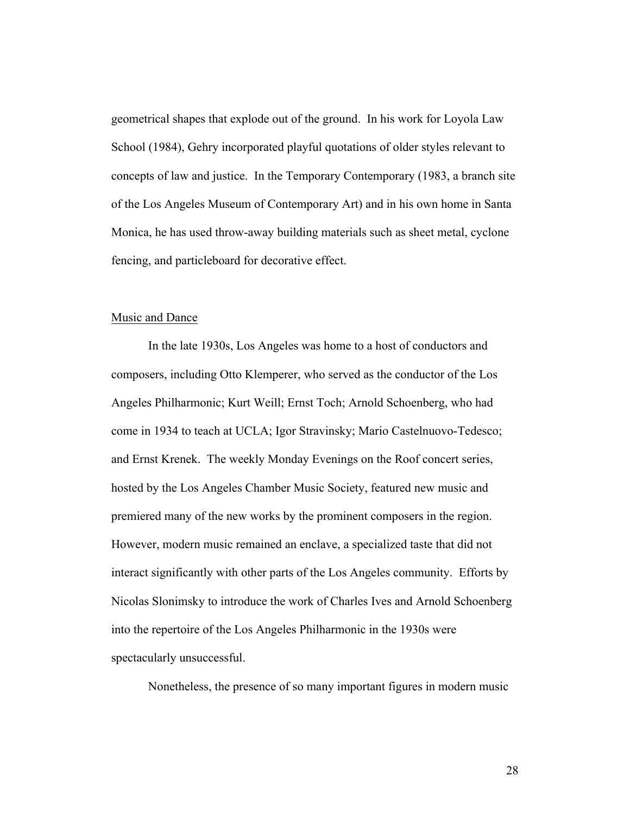geometrical shapes that explode out of the ground. In his work for Loyola Law School (1984), Gehry incorporated playful quotations of older styles relevant to concepts of law and justice. In the Temporary Contemporary (1983, a branch site of the Los Angeles Museum of Contemporary Art) and in his own home in Santa Monica, he has used throw-away building materials such as sheet metal, cyclone fencing, and particleboard for decorative effect.

### Music and Dance

In the late 1930s, Los Angeles was home to a host of conductors and composers, including Otto Klemperer, who served as the conductor of the Los Angeles Philharmonic; Kurt Weill; Ernst Toch; Arnold Schoenberg, who had come in 1934 to teach at UCLA; Igor Stravinsky; Mario Castelnuovo-Tedesco; and Ernst Krenek. The weekly Monday Evenings on the Roof concert series, hosted by the Los Angeles Chamber Music Society, featured new music and premiered many of the new works by the prominent composers in the region. However, modern music remained an enclave, a specialized taste that did not interact significantly with other parts of the Los Angeles community. Efforts by Nicolas Slonimsky to introduce the work of Charles Ives and Arnold Schoenberg into the repertoire of the Los Angeles Philharmonic in the 1930s were spectacularly unsuccessful.

Nonetheless, the presence of so many important figures in modern music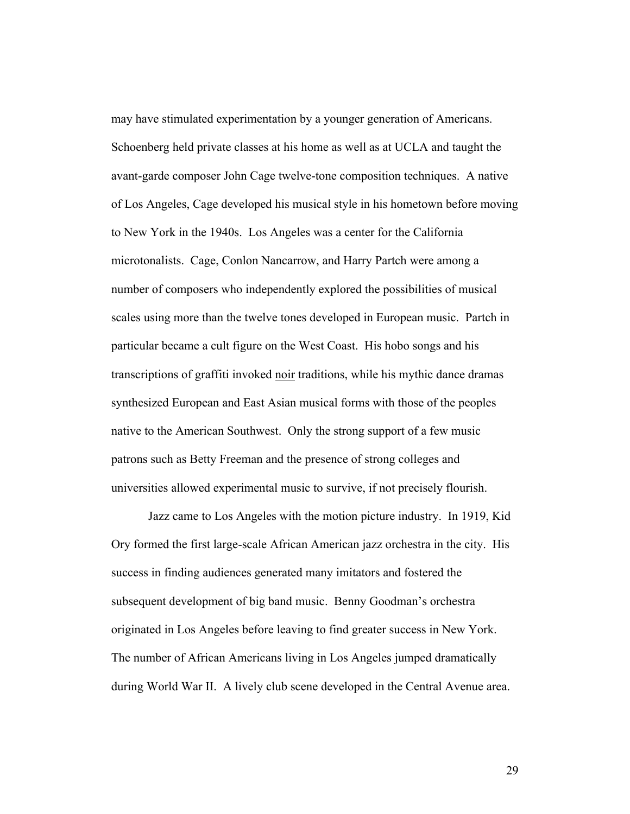may have stimulated experimentation by a younger generation of Americans. Schoenberg held private classes at his home as well as at UCLA and taught the avant-garde composer John Cage twelve-tone composition techniques. A native of Los Angeles, Cage developed his musical style in his hometown before moving to New York in the 1940s. Los Angeles was a center for the California microtonalists. Cage, Conlon Nancarrow, and Harry Partch were among a number of composers who independently explored the possibilities of musical scales using more than the twelve tones developed in European music. Partch in particular became a cult figure on the West Coast. His hobo songs and his transcriptions of graffiti invoked noir traditions, while his mythic dance dramas synthesized European and East Asian musical forms with those of the peoples native to the American Southwest. Only the strong support of a few music patrons such as Betty Freeman and the presence of strong colleges and universities allowed experimental music to survive, if not precisely flourish.

Jazz came to Los Angeles with the motion picture industry. In 1919, Kid Ory formed the first large-scale African American jazz orchestra in the city. His success in finding audiences generated many imitators and fostered the subsequent development of big band music. Benny Goodman's orchestra originated in Los Angeles before leaving to find greater success in New York. The number of African Americans living in Los Angeles jumped dramatically during World War II. A lively club scene developed in the Central Avenue area.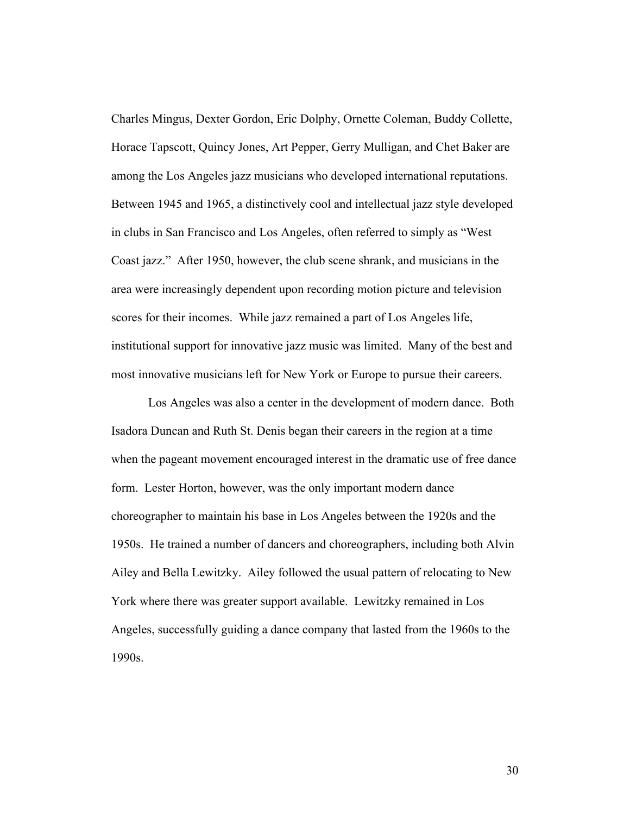Charles Mingus, Dexter Gordon, Eric Dolphy, Ornette Coleman, Buddy Collette, Horace Tapscott, Quincy Jones, Art Pepper, Gerry Mulligan, and Chet Baker are among the Los Angeles jazz musicians who developed international reputations. Between 1945 and 1965, a distinctively cool and intellectual jazz style developed in clubs in San Francisco and Los Angeles, often referred to simply as "West Coast jazz." After 1950, however, the club scene shrank, and musicians in the area were increasingly dependent upon recording motion picture and television scores for their incomes. While jazz remained a part of Los Angeles life, institutional support for innovative jazz music was limited. Many of the best and most innovative musicians left for New York or Europe to pursue their careers.

Los Angeles was also a center in the development of modern dance. Both Isadora Duncan and Ruth St. Denis began their careers in the region at a time when the pageant movement encouraged interest in the dramatic use of free dance form. Lester Horton, however, was the only important modern dance choreographer to maintain his base in Los Angeles between the 1920s and the 1950s. He trained a number of dancers and choreographers, including both Alvin Ailey and Bella Lewitzky. Ailey followed the usual pattern of relocating to New York where there was greater support available. Lewitzky remained in Los Angeles, successfully guiding a dance company that lasted from the 1960s to the 1990s.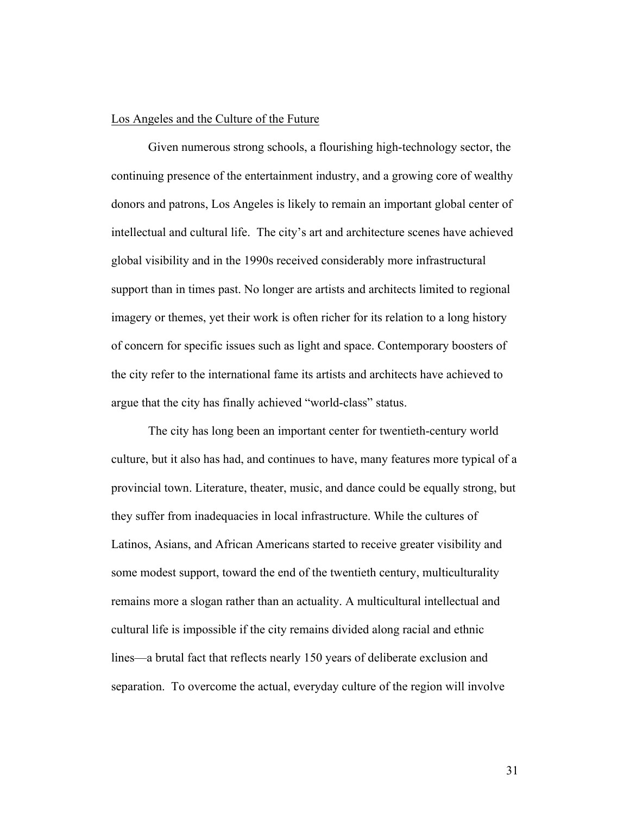#### Los Angeles and the Culture of the Future

Given numerous strong schools, a flourishing high-technology sector, the continuing presence of the entertainment industry, and a growing core of wealthy donors and patrons, Los Angeles is likely to remain an important global center of intellectual and cultural life. The city's art and architecture scenes have achieved global visibility and in the 1990s received considerably more infrastructural support than in times past. No longer are artists and architects limited to regional imagery or themes, yet their work is often richer for its relation to a long history of concern for specific issues such as light and space. Contemporary boosters of the city refer to the international fame its artists and architects have achieved to argue that the city has finally achieved "world-class" status.

The city has long been an important center for twentieth-century world culture, but it also has had, and continues to have, many features more typical of a provincial town. Literature, theater, music, and dance could be equally strong, but they suffer from inadequacies in local infrastructure. While the cultures of Latinos, Asians, and African Americans started to receive greater visibility and some modest support, toward the end of the twentieth century, multiculturality remains more a slogan rather than an actuality. A multicultural intellectual and cultural life is impossible if the city remains divided along racial and ethnic lines—a brutal fact that reflects nearly 150 years of deliberate exclusion and separation. To overcome the actual, everyday culture of the region will involve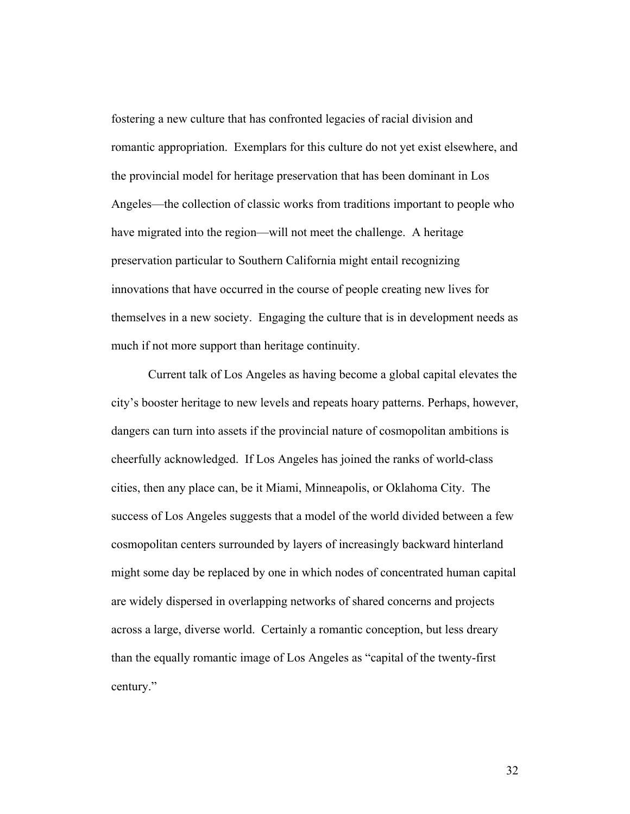fostering a new culture that has confronted legacies of racial division and romantic appropriation. Exemplars for this culture do not yet exist elsewhere, and the provincial model for heritage preservation that has been dominant in Los Angeles—the collection of classic works from traditions important to people who have migrated into the region—will not meet the challenge. A heritage preservation particular to Southern California might entail recognizing innovations that have occurred in the course of people creating new lives for themselves in a new society. Engaging the culture that is in development needs as much if not more support than heritage continuity.

Current talk of Los Angeles as having become a global capital elevates the city's booster heritage to new levels and repeats hoary patterns. Perhaps, however, dangers can turn into assets if the provincial nature of cosmopolitan ambitions is cheerfully acknowledged. If Los Angeles has joined the ranks of world-class cities, then any place can, be it Miami, Minneapolis, or Oklahoma City. The success of Los Angeles suggests that a model of the world divided between a few cosmopolitan centers surrounded by layers of increasingly backward hinterland might some day be replaced by one in which nodes of concentrated human capital are widely dispersed in overlapping networks of shared concerns and projects across a large, diverse world. Certainly a romantic conception, but less dreary than the equally romantic image of Los Angeles as "capital of the twenty-first century."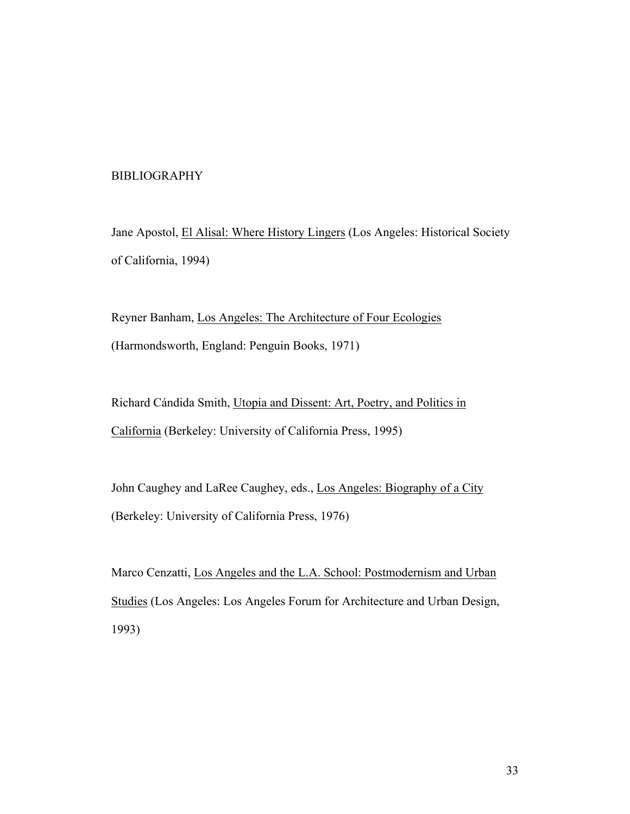# BIBLIOGRAPHY

Jane Apostol, El Alisal: Where History Lingers (Los Angeles: Historical Society of California, 1994)

Reyner Banham, Los Angeles: The Architecture of Four Ecologies (Harmondsworth, England: Penguin Books, 1971)

Richard Cándida Smith, Utopia and Dissent: Art, Poetry, and Politics in California (Berkeley: University of California Press, 1995)

John Caughey and LaRee Caughey, eds., Los Angeles: Biography of a City (Berkeley: University of California Press, 1976)

Marco Cenzatti, Los Angeles and the L.A. School: Postmodernism and Urban Studies (Los Angeles: Los Angeles Forum for Architecture and Urban Design, 1993)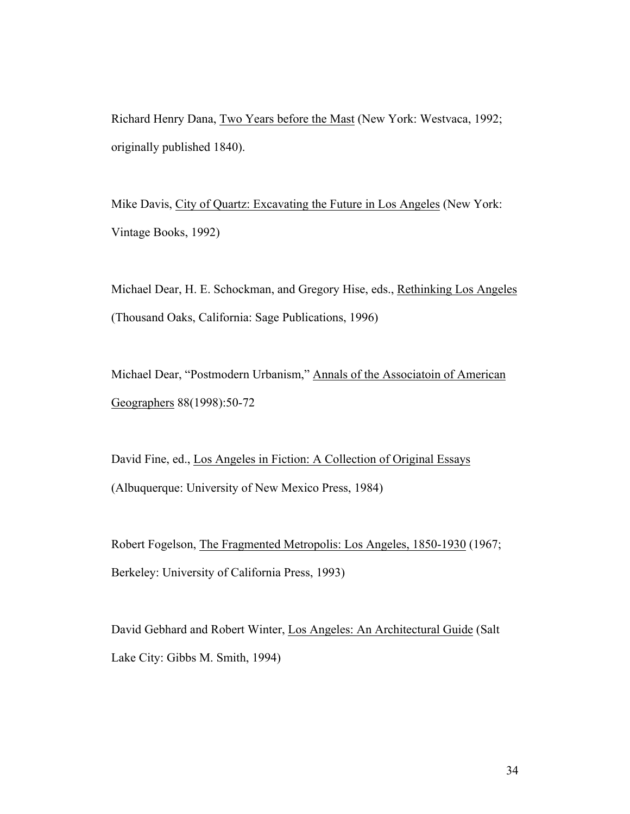Richard Henry Dana, Two Years before the Mast (New York: Westvaca, 1992; originally published 1840).

Mike Davis, City of Quartz: Excavating the Future in Los Angeles (New York: Vintage Books, 1992)

Michael Dear, H. E. Schockman, and Gregory Hise, eds., Rethinking Los Angeles (Thousand Oaks, California: Sage Publications, 1996)

Michael Dear, "Postmodern Urbanism," Annals of the Associatoin of American Geographers 88(1998):50-72

David Fine, ed., Los Angeles in Fiction: A Collection of Original Essays (Albuquerque: University of New Mexico Press, 1984)

Robert Fogelson, The Fragmented Metropolis: Los Angeles, 1850-1930 (1967; Berkeley: University of California Press, 1993)

David Gebhard and Robert Winter, Los Angeles: An Architectural Guide (Salt Lake City: Gibbs M. Smith, 1994)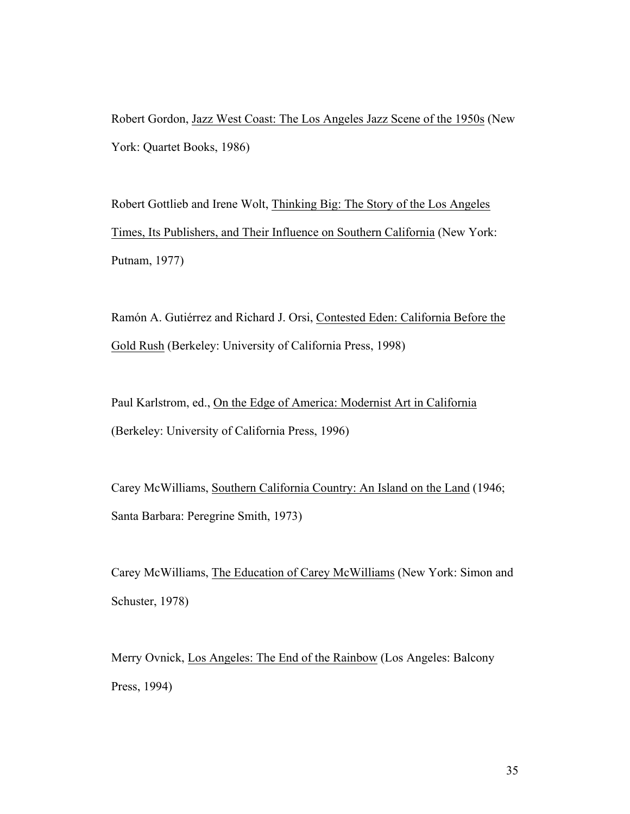Robert Gordon, Jazz West Coast: The Los Angeles Jazz Scene of the 1950s (New York: Quartet Books, 1986)

Robert Gottlieb and Irene Wolt, Thinking Big: The Story of the Los Angeles Times, Its Publishers, and Their Influence on Southern California (New York: Putnam, 1977)

Ramón A. Gutiérrez and Richard J. Orsi, Contested Eden: California Before the Gold Rush (Berkeley: University of California Press, 1998)

Paul Karlstrom, ed., On the Edge of America: Modernist Art in California (Berkeley: University of California Press, 1996)

Carey McWilliams, Southern California Country: An Island on the Land (1946; Santa Barbara: Peregrine Smith, 1973)

Carey McWilliams, The Education of Carey McWilliams (New York: Simon and Schuster, 1978)

Merry Ovnick, Los Angeles: The End of the Rainbow (Los Angeles: Balcony Press, 1994)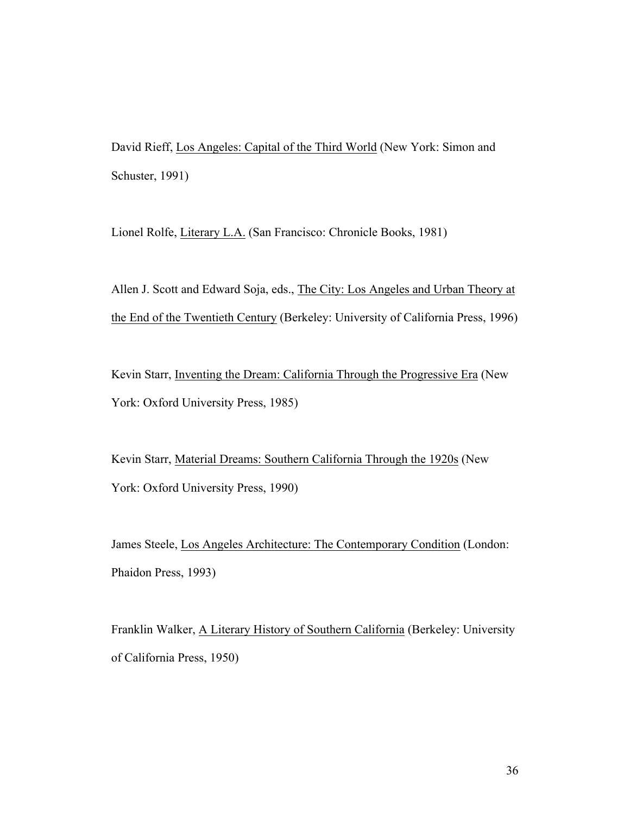David Rieff, Los Angeles: Capital of the Third World (New York: Simon and Schuster, 1991)

Lionel Rolfe, Literary L.A. (San Francisco: Chronicle Books, 1981)

Allen J. Scott and Edward Soja, eds., The City: Los Angeles and Urban Theory at the End of the Twentieth Century (Berkeley: University of California Press, 1996)

Kevin Starr, Inventing the Dream: California Through the Progressive Era (New York: Oxford University Press, 1985)

Kevin Starr, Material Dreams: Southern California Through the 1920s (New York: Oxford University Press, 1990)

James Steele, Los Angeles Architecture: The Contemporary Condition (London: Phaidon Press, 1993)

Franklin Walker, A Literary History of Southern California (Berkeley: University of California Press, 1950)